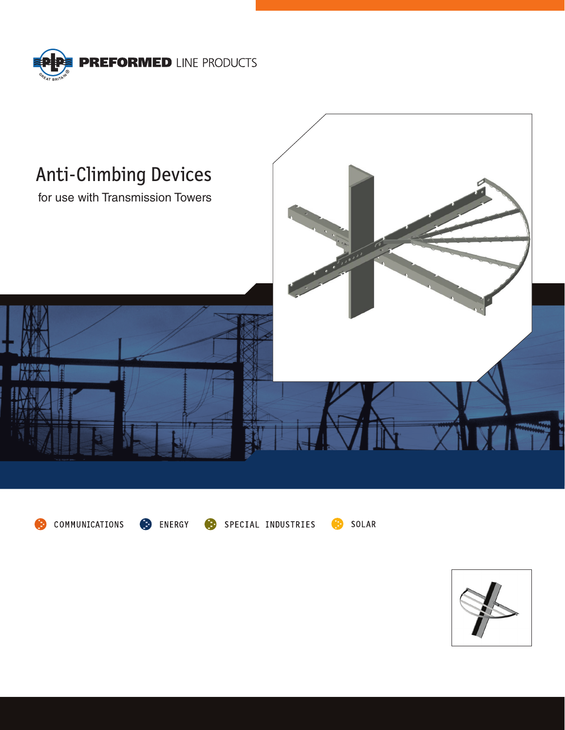





ENERGY  $\bullet$ 

SPECIAL INDUSTRIES ⊕

⊕